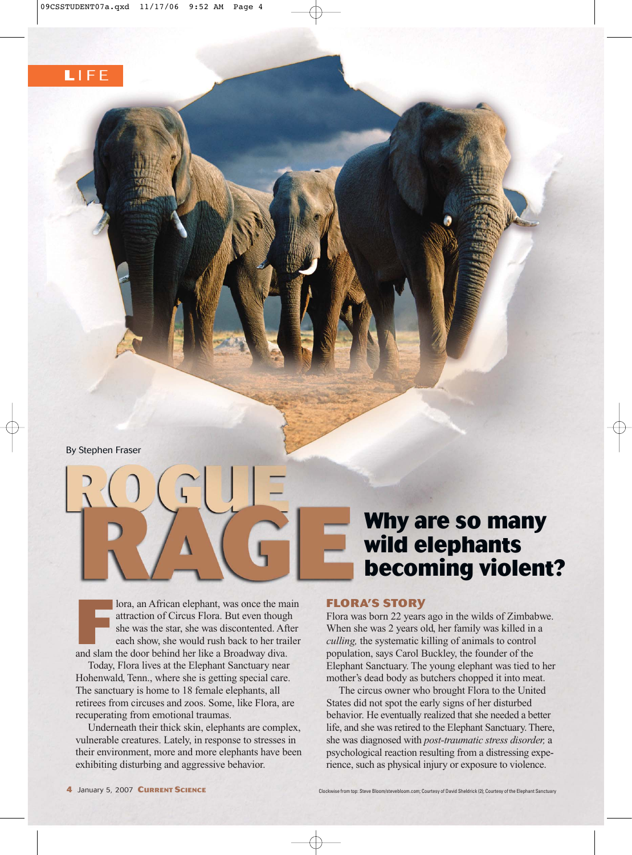By Stephen Fraser

**France Structure 1989** Iora, an African elephant, was once the main attraction of Circus Flora. But even though she was the star, she was discontented. After each show, she would rush back to her trailer and slam the door attraction of Circus Flora. But even though she was the star, she was discontented. After each show, she would rush back to her trailer and slam the door behind her like a Broadway diva.

Today, Flora lives at the Elephant Sanctuary near Hohenwald, Tenn., where she is getting special care. The sanctuary is home to 18 female elephants, all retirees from circuses and zoos. Some, like Flora, are recuperating from emotional traumas.

Underneath their thick skin, elephants are complex, vulnerable creatures. Lately, in response to stresses in their environment, more and more elephants have been exhibiting disturbing and aggressive behavior.

## **Why are so many wild elephants becoming violent?**

## **FLORA'S STORY**

5

Flora was born 22 years ago in the wilds of Zimbabwe. When she was 2 years old, her family was killed in a *culling,* the systematic killing of animals to control population, says Carol Buckley, the founder of the Elephant Sanctuary. The young elephant was tied to her mother's dead body as butchers chopped it into meat.

The circus owner who brought Flora to the United States did not spot the early signs of her disturbed behavior. He eventually realized that she needed a better life, and she was retired to the Elephant Sanctuary. There, she was diagnosed with *post-traumatic stress disorder,* a psychological reaction resulting from a distressing experience, such as physical injury or exposure to violence.